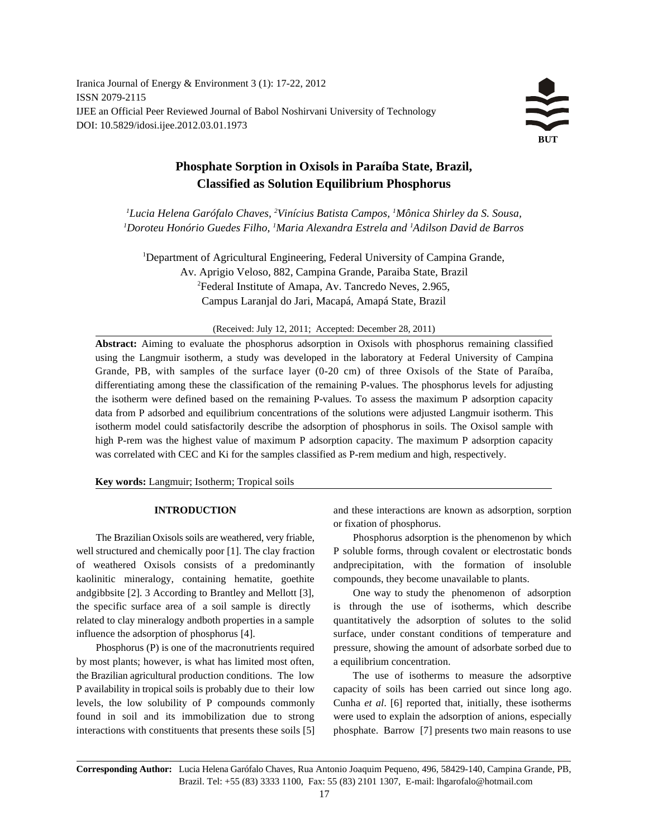Iranica Journal of Energy & Environment 3 (1): 17-22, 2012 ISSN 2079-2115 IJEE an Official Peer Reviewed Journal of Babol Noshirvani University of Technology DOI: 10.5829/idosi.ijee.2012.03.01.1973



# **Phosphate Sorption in Oxisols in Paraíba State, Brazil, Classified as Solution Equilibrium Phosphorus**

*Lucia Helena Garófalo Chaves, Vinícius Batista Campos, Mônica Shirley da S. Sousa, 1 2 1* <sup>1</sup> Doroteu Honório Guedes Filho, <sup>1</sup> Maria Alexandra Estrela and <sup>1</sup> Adilson David de Barros

<sup>1</sup>Department of Agricultural Engineering, Federal University of Campina Grande, Av. Aprigio Veloso, 882, Campina Grande, Paraiba State, Brazil 2 Federal Institute of Amapa, Av. Tancredo Neves, 2.965, Campus Laranjal do Jari, Macapá, Amapá State, Brazil

### (Received: July 12, 2011; Accepted: December 28, 2011)

**Abstract:** Aiming to evaluate the phosphorus adsorption in Oxisols with phosphorus remaining classified using the Langmuir isotherm, a study was developed in the laboratory at Federal University of Campina Grande, PB, with samples of the surface layer (0-20 cm) of three Oxisols of the State of Paraíba, differentiating among these the classification of the remaining P-values. The phosphorus levels for adjusting the isotherm were defined based on the remaining P-values. To assess the maximum P adsorption capacity data from P adsorbed and equilibrium concentrations of the solutions were adjusted Langmuir isotherm. This isotherm model could satisfactorily describe the adsorption of phosphorus in soils. The Oxisol sample with high P-rem was the highest value of maximum P adsorption capacity. The maximum P adsorption capacity was correlated with CEC and Ki for the samples classified as P-rem medium and high, respectively.

**Key words:** Langmuir; Isotherm; Tropical soils

well structured and chemically poor [1]. The clay fraction P soluble forms, through covalent or electrostatic bonds of weathered Oxisols consists of a predominantly andprecipitation, with the formation of insoluble kaolinitic mineralogy, containing hematite, goethite compounds, they become unavailable to plants. andgibbsite [2]. 3 According to Brantley and Mellott [3], One way to study the phenomenon of adsorption the specific surface area of a soil sample is directly is through the use of isotherms, which describe related to clay mineralogy andboth properties in a sample quantitatively the adsorption of solutes to the solid influence the adsorption of phosphorus [4]. surface, under constant conditions of temperature and

by most plants; however, is what has limited most often, a equilibrium concentration. the Brazilian agricultural production conditions. The low The use of isotherms to measure the adsorptive P availability in tropical soils is probably due to their low capacity of soils has been carried out since long ago. levels, the low solubility of P compounds commonly Cunha *et al*. [6] reported that, initially, these isotherms found in soil and its immobilization due to strong were used to explain the adsorption of anions, especially interactions with constituents that presents these soils [5] phosphate. Barrow [7] presents two main reasons to use

**INTRODUCTION** and these interactions are known as adsorption, sorption or fixation of phosphorus.

The Brazilian Oxisols soils are weathered, very friable, Phosphorus adsorption is the phenomenon by which

Phosphorus (P) is one of the macronutrients required pressure, showing the amount of adsorbate sorbed due to

**Corresponding Author:** Lucia Helena Garófalo Chaves, Rua Antonio Joaquim Pequeno, 496, 58429-140, Campina Grande, PB, Brazil. Tel: +55 (83) 3333 1100, Fax: 55 (83) 2101 1307, E-mail: lhgarofalo@hotmail.com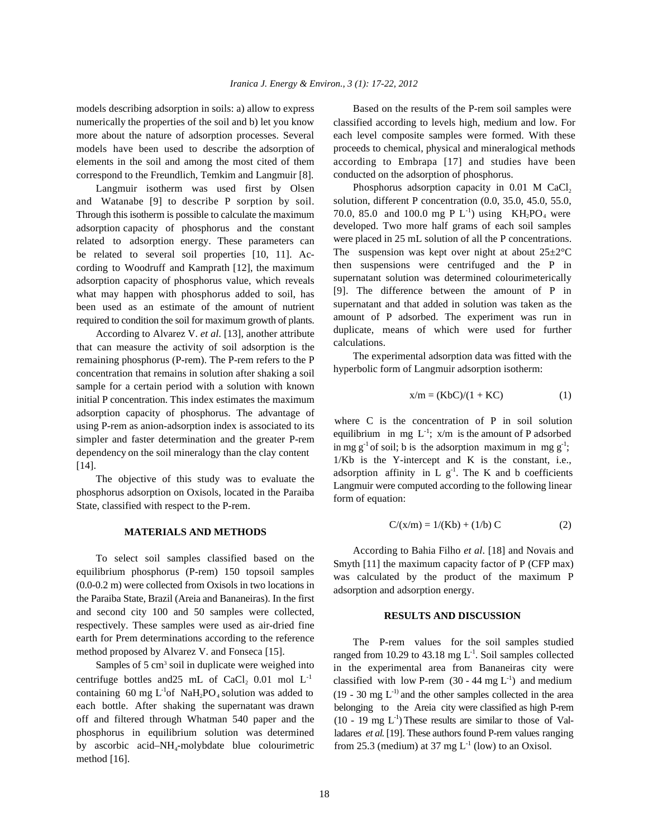models describing adsorption in soils: a) allow to express Based on the results of the P-rem soil samples were numerically the properties of the soil and b) let you know more about the nature of adsorption processes. Several models have been used to describe the adsorption of elements in the soil and among the most cited of them correspond to the Freundlich, Temkim and Langmuir [8].

Langmuir isotherm was used first by Olsen and Watanabe [9] to describe P sorption by soil. Through this isotherm is possible to calculate the maximum adsorption capacity of phosphorus and the constant related to adsorption energy. These parameters can be related to several soil properties [10, 11]. According to Woodruff and Kamprath [12], the maximum adsorption capacity of phosphorus value, which reveals what may happen with phosphorus added to soil, has been used as an estimate of the amount of nutrient required to condition the soil for maximum growth of plants.

According to Alvarez V. *et al*. [13], another attribute that can measure the activity of soil adsorption is the remaining phosphorus (P-rem). The P-rem refers to the P concentration that remains in solution after shaking a soil sample for a certain period with a solution with known initial P concentration. This index estimates the maximum adsorption capacity of phosphorus. The advantage of using P-rem as anion-adsorption index is associated to its simpler and faster determination and the greater P-rem dependency on the soil mineralogy than the clay content [14].

The objective of this study was to evaluate the phosphorus adsorption on Oxisols, located in the Paraiba State, classified with respect to the P-rem.

### **MATERIALS AND METHODS**

To select soil samples classified based on the equilibrium phosphorus (P-rem) 150 topsoil samples (0.0-0.2 m) were collected from Oxisols in two locations in the Paraiba State, Brazil (Areia and Bananeiras). In the first and second city 100 and 50 samples were collected, respectively. These samples were used as air-dried fine earth for Prem determinations according to the reference method proposed by Alvarez V. and Fonseca [15].

Samples of  $5 \text{ cm}^3$  soil in duplicate were weighed into centrifuge bottles and 25 mL of CaCl<sub>2</sub> 0.01 mol  $L^{-1}$ containing 60 mg  $L^1$ of NaH<sub>2</sub>PO<sub>4</sub> solution was added to each bottle. After shaking the supernatant was drawn off and filtered through Whatman 540 paper and the phosphorus in equilibrium solution was determined by ascorbic acid–NH<sub>4</sub>-molybdate blue colourimetric method [16].

classified according to levels high, medium and low. For each level composite samples were formed. With these proceeds to chemical, physical and mineralogical methods according to Embrapa [17] and studies have been conducted on the adsorption of phosphorus.

Phosphorus adsorption capacity in  $0.01$  M CaCl<sub>2</sub> solution, different P concentration (0.0, 35.0, 45.0, 55.0, 70.0, 85.0 and 100.0 mg P  $L^{-1}$ ) using KH<sub>2</sub>PO<sub>4</sub> were developed. Two more half grams of each soil samples were placed in 25 mL solution of all the P concentrations. The suspension was kept over night at about  $25 \pm 2^{\circ}$ C then suspensions were centrifuged and the P in supernatant solution was determined colourimeterically [9]. The difference between the amount of P in supernatant and that added in solution was taken as the amount of P adsorbed. The experiment was run in duplicate, means of which were used for further calculations.

The experimental adsorption data was fitted with the hyperbolic form of Langmuir adsorption isotherm:

$$
x/m = (KbC)/(1 + KC)
$$
 (1)

where C is the concentration of P in soil solution equilibrium in mg  $L^{-1}$ ;  $x/m$  is the amount of P adsorbed in mg g<sup>-1</sup> of soil; b is the adsorption maximum in mg g<sup>-1</sup>; 1/Kb is the Y-intercept and K is the constant, i.e., adsorption affinity in L  $g^{-1}$ . The K and b coefficients Langmuir were computed according to the following linear form of equation:

$$
C/(x/m) = 1/(Kb) + (1/b) C
$$
 (2)

According to Bahia Filho *et al*. [18] and Novais and Smyth [11] the maximum capacity factor of P (CFP max) was calculated by the product of the maximum P adsorption and adsorption energy.

# **RESULTS AND DISCUSSION**

The P-rem values for the soil samples studied ranged from 10.29 to 43.18 mg  $L^{-1}$ . Soil samples collected in the experimental area from Bananeiras city were classified with low P-rem  $(30 - 44 \text{ mg } L^{-1})$  and medium  $(19 - 30 \text{ mg } L^{-1})$  and the other samples collected in the area belonging to the Areia city were classified as high P-rem  $(10 - 19 \text{ mg } L^{-1})$  These results are similar to those of Valladares *et al*. [19]. These authors found P-rem values ranging from 25.3 (medium) at 37 mg  $L^{-1}$  (low) to an Oxisol.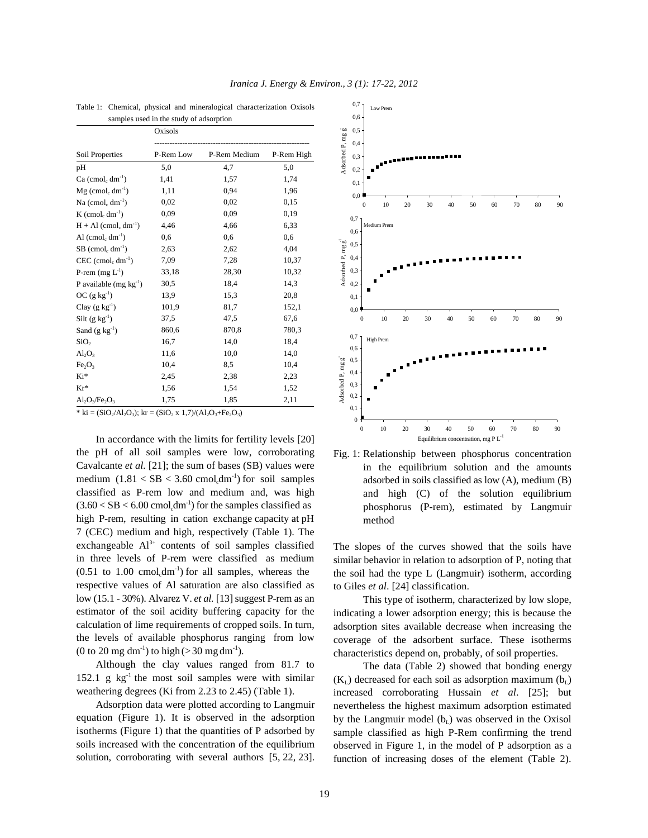| samples used in the study of adsorption     |           |              |            |  |  |
|---------------------------------------------|-----------|--------------|------------|--|--|
|                                             | Oxisols   |              |            |  |  |
| Soil Properties                             | P-Rem Low | P-Rem Medium | P-Rem High |  |  |
| pH                                          | 5,0       | 4,7          | 5,0        |  |  |
| $Ca (cmolc dm-1)$                           | 1,41      | 1,57         | 1,74       |  |  |
| $Mg$ (cmol <sub>c</sub> dm <sup>-1</sup> )  | 1,11      | 0,94         | 1,96       |  |  |
| Na (cmol <sub>c</sub> dm <sup>-1</sup> )    | 0,02      | 0,02         | 0,15       |  |  |
| $K$ (cmol <sub>c</sub> dm <sup>-1</sup> )   | 0.09      | 0,09         | 0,19       |  |  |
| $H + Al (cmolc dm-1)$                       | 4,46      | 4,66         | 6,33       |  |  |
| Al $(cmol_c dm^{-1})$                       | 0,6       | 0,6          | 0,6        |  |  |
| $SB$ (cmol <sub>c</sub> dm <sup>-1</sup> )  | 2,63      | 2,62         | 4,04       |  |  |
| $CEC$ (cmol <sub>c</sub> dm <sup>-1</sup> ) | 7,09      | 7,28         | 10,37      |  |  |
| P-rem $(mg L^{-1})$                         | 33,18     | 28,30        | 10,32      |  |  |
| P available $(mg kg^{-1})$                  | 30,5      | 18.4         | 14,3       |  |  |
| $OC$ (g kg <sup>-1</sup> )                  | 13,9      | 15,3         | 20,8       |  |  |
| Clay $(g \ kg^{-1})$                        | 101,9     | 81,7         | 152,1      |  |  |
| Silt $(g \ kg^{-1})$                        | 37,5      | 47,5         | 67,6       |  |  |
| Sand $(g \ kg^{-1})$                        | 860,6     | 870,8        | 780,3      |  |  |
| SiO <sub>2</sub>                            | 16,7      | 14,0         | 18,4       |  |  |
| $Al_2O_3$                                   | 11,6      | 10,0         | 14,0       |  |  |
| Fe <sub>2</sub> O <sub>3</sub>              | 10,4      | 8,5          | 10,4       |  |  |
| Ki*                                         | 2,45      | 2,38         | 2,23       |  |  |
| $Kr*$                                       | 1,56      | 1,54         | 1,52       |  |  |
| $Al_2O_3/Fe_2O_3$                           | 1,75      | 1,85         | 2,11       |  |  |

Table 1: Chemical, physical and mineralogical characterization Oxisols

*Iranica J. Energy & Environ., 3 (1): 17-22, 2012*

\* ki =  $(SiO_2/Al_2O_3)$ ; kr =  $(SiO_2 \times 1,7)/(Al_2O_3 + Fe_2O_3)$ 

In accordance with the limits for fertility levels [20] the pH of all soil samples were low, corroborating Cavalcante *et al.* [21]; the sum of bases (SB) values were medium  $(1.81 < SB < 3.60$  cmol<sub>1</sub>dm<sup>-1</sup> for soil samples classified as P-rem low and medium and, was high  $(3.60 < SB < 6.00$  cmol.dm<sup>-1</sup>) for the samples classified as high P-rem, resulting in cation exchange capacity at pH 7 (CEC) medium and high, respectively (Table 1). The exchangeable  $Al^{3+}$  contents of soil samples classified in three levels of P-rem were classified as medium  $(0.51 \text{ to } 1.00 \text{ cmol}, \text{dm}^{-1})$  for all samples, whereas the respective values of Al saturation are also classified as low (15.1 - 30%). Alvarez V. *et al.* [13] suggest P-rem as an estimator of the soil acidity buffering capacity for the calculation of lime requirements of cropped soils. In turn, the levels of available phosphorus ranging from low (0 to 20 mg dm<sup>-1</sup>) to high (> 30 mg dm<sup>-1</sup>).

Although the clay values ranged from 81.7 to 152.1 g  $kg^{-1}$  the most soil samples were with similar weathering degrees (Ki from 2.23 to 2.45) (Table 1).

Adsorption data were plotted according to Langmuir equation (Figure 1). It is observed in the adsorption isotherms (Figure 1) that the quantities of P adsorbed by soils increased with the concentration of the equilibrium solution, corroborating with several authors [5, 22, 23].



Fig. 1: Relationship between phosphorus concentration in the equilibrium solution and the amounts adsorbed in soils classified as low (A), medium (B) and high (C) of the solution equilibrium phosphorus (P-rem), estimated by Langmuir method

The slopes of the curves showed that the soils have similar behavior in relation to adsorption of P, noting that the soil had the type L (Langmuir) isotherm, according to Giles *et al*. [24] classification.

This type of isotherm, characterized by low slope, indicating a lower adsorption energy; this is because the adsorption sites available decrease when increasing the coverage of the adsorbent surface. These isotherms characteristics depend on, probably, of soil properties.

The data (Table 2) showed that bonding energy  $(K_L)$  decreased for each soil as adsorption maximum  $(b_L)$ increased corroborating Hussain *et al*. [25]; but nevertheless the highest maximum adsorption estimated by the Langmuir model  $(b<sub>i</sub>)$  was observed in the Oxisol sample classified as high P-Rem confirming the trend observed in Figure 1, in the model of P adsorption as a function of increasing doses of the element (Table 2).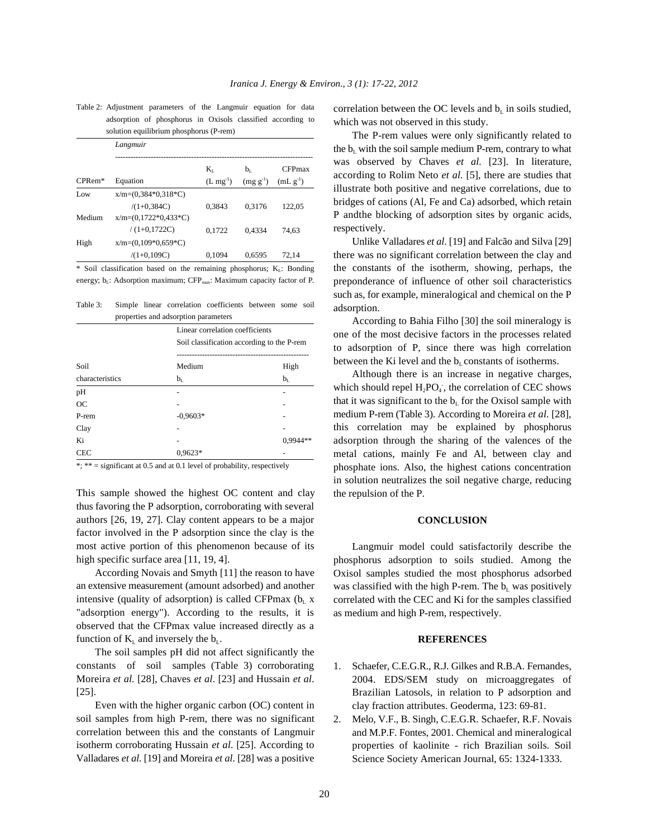Table 2: Adjustment parameters of the Langmuir equation for data adsorption of phosphorus in Oxisols classified according to solution equilibrium phosphorus (P-rem)

|          | Langmuir               |               |               |               |  |  |
|----------|------------------------|---------------|---------------|---------------|--|--|
|          |                        | K,            | $b_1$         | <b>CFPmax</b> |  |  |
| $CPRem*$ | Equation               | $(L mg^{-1})$ | $(mg g^{-1})$ | $(mL g^{-1})$ |  |  |
| Low      | $x/m=(0.384*0.318*C)$  |               |               |               |  |  |
|          | $/(1+0.384C)$          | 0,3843        | 0.3176        | 122.05        |  |  |
| Medium   | $x/m=(0.1722*0.433*C)$ |               |               |               |  |  |
|          | $/(1+0.1722C)$         | 0.1722        | 0.4334        | 74.63         |  |  |
| High     | $x/m=(0,109*0,659*C)$  |               |               |               |  |  |
|          | $/(1+0,109C)$          | 0.1094        | 0,6595        | 72.14         |  |  |

\* Soil classification based on the remaining phosphorus;  $K_L$ : Bonding energy; b<sub>L</sub>: Adsorption maximum; CFP<sub>max</sub>: Maximum capacity factor of P.

Table 3: Simple linear correlation coefficients between some soil properties and adsorption parameters

|                 | Linear correlation coefficients<br>Soil classification according to the P-rem |            |  |
|-----------------|-------------------------------------------------------------------------------|------------|--|
| Soil            | Medium                                                                        | High       |  |
| characteristics | $b_{\rm L}$                                                                   | $b_{L}$    |  |
| pH              |                                                                               |            |  |
| <b>OC</b>       |                                                                               |            |  |
| P-rem           | $-0.9603*$                                                                    |            |  |
| Clay            |                                                                               |            |  |
| Ki              |                                                                               | $0.9944**$ |  |
| <b>CEC</b>      | $0.9623*$                                                                     |            |  |

\*; \*\* = significant at 0.5 and at 0.1 level of probability, respectively

This sample showed the highest OC content and clay thus favoring the P adsorption, corroborating with several authors [26, 19, 27]. Clay content appears to be a major factor involved in the P adsorption since the clay is the most active portion of this phenomenon because of its high specific surface area [11, 19, 4].

According Novais and Smyth [11] the reason to have an extensive measurement (amount adsorbed) and another intensive (quality of adsorption) is called CFPmax ( $b<sub>L</sub>$  x "adsorption energy"). According to the results, it is observed that the CFPmax value increased directly as a function of  $K<sub>L</sub>$  and inversely the  $b<sub>L</sub>$ .

The soil samples pH did not affect significantly the constants of soil samples (Table 3) corroborating Moreira *et al.* [28], Chaves *et al*. [23] and Hussain *et al*. [25].

Even with the higher organic carbon (OC) content in soil samples from high P-rem, there was no significant correlation between this and the constants of Langmuir isotherm corroborating Hussain *et al*. [25]. According to Valladares *et al.* [19] and Moreira *et al*. [28] was a positive correlation between the OC levels and  $b_L$  in soils studied, which was not observed in this study.

The P-rem values were only significantly related to the  $b_L$  with the soil sample medium P-rem, contrary to what was observed by Chaves *et al.* [23]. In literature, according to Rolim Neto *et al.* [5], there are studies that illustrate both positive and negative correlations, due to bridges of cations (Al, Fe and Ca) adsorbed, which retain P andthe blocking of adsorption sites by organic acids, respectively.

Unlike Valladares *et al*. [19] and Falcão and Silva [29] there was no significant correlation between the clay and the constants of the isotherm, showing, perhaps, the preponderance of influence of other soil characteristics such as, for example, mineralogical and chemical on the P adsorption.

According to Bahia Filho [30] the soil mineralogy is one of the most decisive factors in the processes related to adsorption of P, since there was high correlation between the Ki level and the  $b<sub>L</sub>$  constants of isotherms.

Although there is an increase in negative charges, which should repel  $H_2PO_4$ , the correlation of CEC shows that it was significant to the  $b<sub>L</sub>$  for the Oxisol sample with medium P-rem (Table 3). According to Moreira *et al.* [28], this correlation may be explained by phosphorus adsorption through the sharing of the valences of the metal cations, mainly Fe and Al, between clay and phosphate ions. Also, the highest cations concentration in solution neutralizes the soil negative charge, reducing the repulsion of the P.

## **CONCLUSION**

Langmuir model could satisfactorily describe the phosphorus adsorption to soils studied. Among the Oxisol samples studied the most phosphorus adsorbed was classified with the high P-rem. The  $b_L$  was positively correlated with the CEC and Ki for the samples classified as medium and high P-rem, respectively.

### **REFERENCES**

- 1. Schaefer, C.E.G.R., R.J. Gilkes and R.B.A. Fernandes, 2004. EDS/SEM study on microaggregates of Brazilian Latosols, in relation to P adsorption and clay fraction attributes. Geoderma, 123: 69-81.
- 2. Melo, V.F., B. Singh, C.E.G.R. Schaefer, R.F. Novais and M.P.F. Fontes, 2001. Chemical and mineralogical properties of kaolinite - rich Brazilian soils. Soil Science Society American Journal, 65: 1324-1333.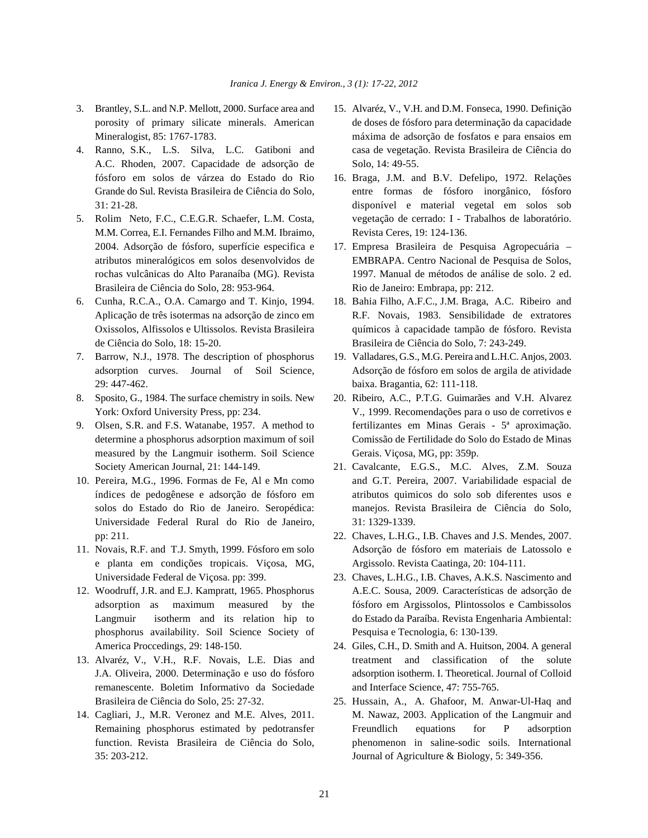- 
- A.C. Rhoden, 2007. Capacidade de adsorção de Solo, 14: 49-55. fósforo em solos de várzea do Estado do Rio 16. Braga, J.M. and B.V. Defelipo, 1972. Relações
- M.M. Correa, E.I. Fernandes Filho and M.M. Ibraimo, Revista Ceres, 19: 124-136. 2004. Adsorção de fósforo, superfície especifica e 17. Empresa Brasileira de Pesquisa Agropecuária – Brasileira de Ciência do Solo, 28: 953-964. Rio de Janeiro: Embrapa, pp: 212.
- de Ciência do Solo, 18: 15-20. Brasileira de Ciência do Solo, 7: 243-249.
- 29: 447-462. baixa. Bragantia, 62: 111-118.
- 8. Sposito, G., 1984. The surface chemistry in soils. New 20. Ribeiro, A.C., P.T.G. Guimarães and V.H. Alvarez
- measured by the Langmuir isotherm. Soil Science Gerais. Viçosa, MG, pp: 359p.
- Universidade Federal Rural do Rio de Janeiro, 31: 1329-1339. pp: 211. 22. Chaves, L.H.G., I.B. Chaves and J.S. Mendes, 2007.
- e planta em condições tropicais. Viçosa, MG, Argissolo. Revista Caatinga, 20: 104-111. Universidade Federal de Viçosa. pp: 399. 23. Chaves, L.H.G., I.B. Chaves, A.K.S. Nascimento and
- phosphorus availability. Soil Science Society of Pesquisa e Tecnologia, 6: 130-139. America Proccedings, 29: 148-150. 24. Giles, C.H., D. Smith and A. Huitson, 2004. A general
- remanescente. Boletim Informativo da Sociedade and Interface Science, 47: 755-765. Brasileira de Ciência do Solo, 25: 27-32. 25. Hussain, A., A. Ghafoor, M. Anwar-Ul-Haq and
- 35: 203-212. Journal of Agriculture & Biology, 5: 349-356.
- 3. Brantley, S.L. and N.P. Mellott, 2000. Surface area and 15. Alvaréz, V., V.H. and D.M. Fonseca, 1990. Definição porosity of primary silicate minerals. American de doses de fósforo para determinação da capacidade Mineralogist, 85: 1767-1783. máxima de adsorção de fosfatos e para ensaios em 4. Ranno, S.K., L.S. Silva, L.C. Gatiboni and casa de vegetação. Revista Brasileira de Ciência do
- Grande do Sul. Revista Brasileira de Ciência do Solo, entre formas de fósforo inorgânico, fósforo 31: 21-28. disponível e material vegetal em solos sob 5. Rolim Neto, F.C., C.E.G.R. Schaefer, L.M. Costa, vegetação de cerrado: I - Trabalhos de laboratório.
	- atributos mineralógicos em solos desenvolvidos de EMBRAPA. Centro Nacional de Pesquisa de Solos, rochas vulcânicas do Alto Paranaíba (MG). Revista 1997. Manual de métodos de análise de solo. 2 ed.
- 6. Cunha, R.C.A., O.A. Camargo and T. Kinjo, 1994. 18. Bahia Filho, A.F.C., J.M. Braga, A.C. Ribeiro and Aplicação de três isotermas na adsorção de zinco em R.F. Novais, 1983. Sensibilidade de extratores Oxissolos, Alfissolos e Ultissolos. Revista Brasileira químicos à capacidade tampão de fósforo. Revista
- 7. Barrow, N.J., 1978. The description of phosphorus 19. Valladares, G.S., M.G. Pereira and L.H.C. Anjos, 2003. adsorption curves. Journal of Soil Science, Adsorção de fósforo em solos de argila de atividade
- York: Oxford University Press, pp: 234. V., 1999. Recomendações para o uso de corretivos e 9. Olsen, S.R. and F.S. Watanabe, 1957. A method to fertilizantes em Minas Gerais - 5ª aproximação. determine a phosphorus adsorption maximum of soil Comissão de Fertilidade do Solo do Estado de Minas
- Society American Journal, 21: 144-149. 21. Cavalcante, E.G.S., M.C. Alves, Z.M. Souza 10. Pereira, M.G., 1996. Formas de Fe, Al e Mn como and G.T. Pereira, 2007. Variabilidade espacial de índices de pedogênese e adsorção de fósforo em atributos quimicos do solo sob diferentes usos e solos do Estado do Rio de Janeiro. Seropédica: manejos. Revista Brasileira de Ciência do Solo,
- 11. Novais, R.F. and T.J. Smyth, 1999. Fósforo em solo Adsorção de fósforo em materiais de Latossolo e
- 12. Woodruff, J.R. and E.J. Kampratt, 1965. Phosphorus A.E.C. Sousa, 2009. Características de adsorção de adsorption as maximum measured by the fósforo em Argissolos, Plintossolos e Cambissolos Langmuir isotherm and its relation hip to do Estado da Paraíba. Revista Engenharia Ambiental:
- 13. Alvaréz, V., V.H., R.F. Novais, L.E. Dias and treatment and classification of the solute J.A. Oliveira, 2000. Determinação e uso do fósforo adsorption isotherm. I. Theoretical. Journal of Colloid
- 14. Cagliari, J., M.R. Veronez and M.E. Alves, 2011. M. Nawaz, 2003. Application of the Langmuir and Remaining phosphorus estimated by pedotransfer Freundlich equations for P adsorption function. Revista Brasileira de Ciência do Solo, phenomenon in saline-sodic soils. International